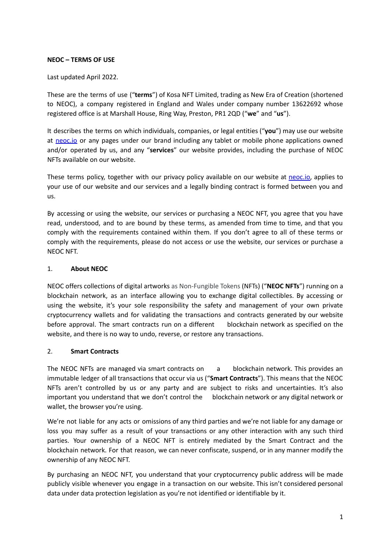## **NEOC – TERMS OF USE**

### Last updated April 2022.

These are the terms of use ("**terms**") of Kosa NFT Limited, trading as New Era of Creation (shortened to NEOC), a company registered in England and Wales under company number 13622692 whose registered office is at Marshall House, Ring Way, Preston, PR1 2QD ("**we**" and "**us**").

It describes the terms on which individuals, companies, or legal entities ("**you**") may use our website at [neoc.io](https://neoc.io/) or any pages under our brand including any tablet or mobile phone applications owned and/or operated by us, and any "**services**" our website provides, including the purchase of NEOC NFTs available on our website.

These terms policy, together with our privacy policy available on our website at [neoc.io,](https://neoc.io/) applies to your use of our website and our services and a legally binding contract is formed between you and us.

By accessing or using the website, our services or purchasing a NEOC NFT, you agree that you have read, understood, and to are bound by these terms, as amended from time to time, and that you comply with the requirements contained within them. If you don't agree to all of these terms or comply with the requirements, please do not access or use the website, our services or purchase a NEOC NFT.

## 1. **About NEOC**

NEOC offers collections of digital artworks as Non-Fungible Tokens (NFTs) ("**NEOC NFTs**") running on a blockchain network, as an interface allowing you to exchange digital collectibles. By accessing or using the website, it's your sole responsibility the safety and management of your own private cryptocurrency wallets and for validating the transactions and contracts generated by our website before approval. The smart contracts run on a different blockchain network as specified on the website, and there is no way to undo, reverse, or restore any transactions.

### 2. **Smart Contracts**

The NEOC NFTs are managed via smart contracts on a blockchain network. This provides an immutable ledger of all transactions that occur via us ("**Smart Contracts**"). This means that the NEOC NFTs aren't controlled by us or any party and are subject to risks and uncertainties. It's also important you understand that we don't control the blockchain network or any digital network or wallet, the browser you're using.

We're not liable for any acts or omissions of any third parties and we're not liable for any damage or loss you may suffer as a result of your transactions or any other interaction with any such third parties. Your ownership of a NEOC NFT is entirely mediated by the Smart Contract and the blockchain network. For that reason, we can never confiscate, suspend, or in any manner modify the ownership of any NEOC NFT.

By purchasing an NEOC NFT, you understand that your cryptocurrency public address will be made publicly visible whenever you engage in a transaction on our website. This isn't considered personal data under data protection legislation as you're not identified or identifiable by it.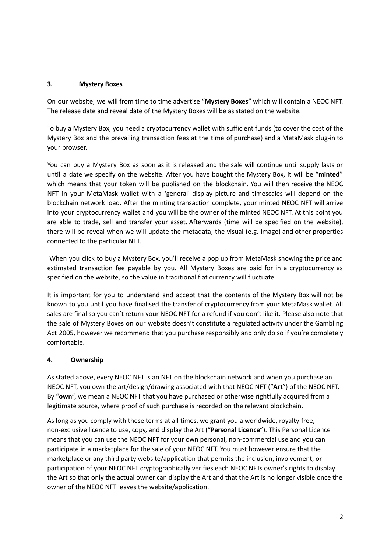# **3. Mystery Boxes**

On our website, we will from time to time advertise "**Mystery Boxes**" which will contain a NEOC NFT. The release date and reveal date of the Mystery Boxes will be as stated on the website.

To buy a Mystery Box, you need a cryptocurrency wallet with sufficient funds (to cover the cost of the Mystery Box and the prevailing transaction fees at the time of purchase) and a MetaMask plug-in to your browser.

You can buy a Mystery Box as soon as it is released and the sale will continue until supply lasts or until a date we specify on the website. After you have bought the Mystery Box, it will be "**minted**" which means that your token will be published on the blockchain. You will then receive the NEOC NFT in your MetaMask wallet with a 'general' display picture and timescales will depend on the blockchain network load. After the minting transaction complete, your minted NEOC NFT will arrive into your cryptocurrency wallet and you will be the owner of the minted NEOC NFT. At this point you are able to trade, sell and transfer your asset. Afterwards (time will be specified on the website), there will be reveal when we will update the metadata, the visual (e.g. image) and other properties connected to the particular NFT.

When you click to buy a Mystery Box, you'll receive a pop up from MetaMask showing the price and estimated transaction fee payable by you. All Mystery Boxes are paid for in a cryptocurrency as specified on the website, so the value in traditional fiat currency will fluctuate.

It is important for you to understand and accept that the contents of the Mystery Box will not be known to you until you have finalised the transfer of cryptocurrency from your MetaMask wallet. All sales are final so you can't return your NEOC NFT for a refund if you don't like it. Please also note that the sale of Mystery Boxes on our website doesn't constitute a regulated activity under the Gambling Act 2005, however we recommend that you purchase responsibly and only do so if you're completely comfortable.

# **4. Ownership**

As stated above, every NEOC NFT is an NFT on the blockchain network and when you purchase an NEOC NFT, you own the art/design/drawing associated with that NEOC NFT ("**Art**") of the NEOC NFT. By "**own**", we mean a NEOC NFT that you have purchased or otherwise rightfully acquired from a legitimate source, where proof of such purchase is recorded on the relevant blockchain.

As long as you comply with these terms at all times, we grant you a worldwide, royalty-free, non-exclusive licence to use, copy, and display the Art ("**Personal Licence**"). This Personal Licence means that you can use the NEOC NFT for your own personal, non-commercial use and you can participate in a marketplace for the sale of your NEOC NFT. You must however ensure that the marketplace or any third party website/application that permits the inclusion, involvement, or participation of your NEOC NFT cryptographically verifies each NEOC NFTs owner's rights to display the Art so that only the actual owner can display the Art and that the Art is no longer visible once the owner of the NEOC NFT leaves the website/application.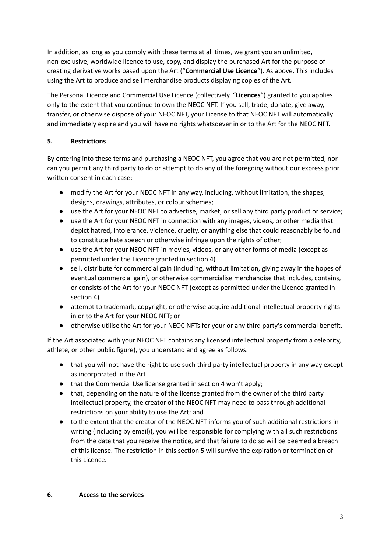In addition, as long as you comply with these terms at all times, we grant you an unlimited, non-exclusive, worldwide licence to use, copy, and display the purchased Art for the purpose of creating derivative works based upon the Art ("**Commercial Use Licence**"). As above, This includes using the Art to produce and sell merchandise products displaying copies of the Art.

The Personal Licence and Commercial Use Licence (collectively, "**Licences**") granted to you applies only to the extent that you continue to own the NEOC NFT. If you sell, trade, donate, give away, transfer, or otherwise dispose of your NEOC NFT, your License to that NEOC NFT will automatically and immediately expire and you will have no rights whatsoever in or to the Art for the NEOC NFT.

# **5. Restrictions**

By entering into these terms and purchasing a NEOC NFT, you agree that you are not permitted, nor can you permit any third party to do or attempt to do any of the foregoing without our express prior written consent in each case:

- modify the Art for your NEOC NFT in any way, including, without limitation, the shapes, designs, drawings, attributes, or colour schemes;
- use the Art for your NEOC NFT to advertise, market, or sell any third party product or service;
- use the Art for your NEOC NFT in connection with any images, videos, or other media that depict hatred, intolerance, violence, cruelty, or anything else that could reasonably be found to constitute hate speech or otherwise infringe upon the rights of other;
- use the Art for your NEOC NFT in movies, videos, or any other forms of media (except as permitted under the Licence granted in section 4)
- sell, distribute for commercial gain (including, without limitation, giving away in the hopes of eventual commercial gain), or otherwise commercialise merchandise that includes, contains, or consists of the Art for your NEOC NFT (except as permitted under the Licence granted in section 4)
- attempt to trademark, copyright, or otherwise acquire additional intellectual property rights in or to the Art for your NEOC NFT; or
- otherwise utilise the Art for your NEOC NFTs for your or any third party's commercial benefit.

If the Art associated with your NEOC NFT contains any licensed intellectual property from a celebrity, athlete, or other public figure), you understand and agree as follows:

- that you will not have the right to use such third party intellectual property in any way except as incorporated in the Art
- that the Commercial Use license granted in section 4 won't apply;
- that, depending on the nature of the license granted from the owner of the third party intellectual property, the creator of the NEOC NFT may need to pass through additional restrictions on your ability to use the Art; and
- to the extent that the creator of the NEOC NFT informs you of such additional restrictions in writing (including by email)), you will be responsible for complying with all such restrictions from the date that you receive the notice, and that failure to do so will be deemed a breach of this license. The restriction in this section 5 will survive the expiration or termination of this Licence.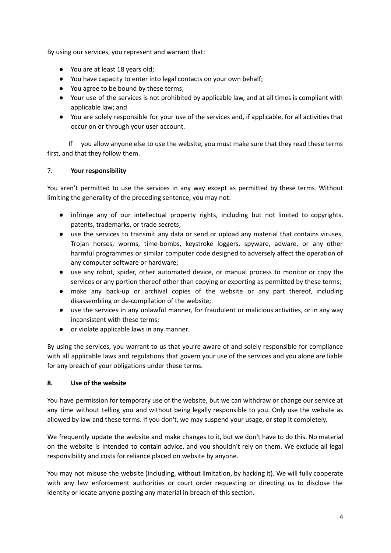By using our services, you represent and warrant that:

- You are at least 18 years old;
- You have capacity to enter into legal contacts on your own behalf;
- You agree to be bound by these terms;
- Your use of the services is not prohibited by applicable law, and at all times is compliant with applicable law; and
- You are solely responsible for your use of the services and, if applicable, for all activities that occur on or through your user account.

If you allow anyone else to use the website, you must make sure that they read these terms first, and that they follow them.

# 7. **Your responsibility**

You aren't permitted to use the services in any way except as permitted by these terms. Without limiting the generality of the preceding sentence, you may not:

- infringe any of our intellectual property rights, including but not limited to copyrights, patents, trademarks, or trade secrets;
- use the services to transmit any data or send or upload any material that contains viruses, Trojan horses, worms, time-bombs, keystroke loggers, spyware, adware, or any other harmful programmes or similar computer code designed to adversely affect the operation of any computer software or hardware;
- use any robot, spider, other automated device, or manual process to monitor or copy the services or any portion thereof other than copying or exporting as permitted by these terms;
- make any back-up or archival copies of the website or any part thereof, including disassembling or de-compilation of the website;
- use the services in any unlawful manner, for fraudulent or malicious activities, or in any way inconsistent with these terms;
- or violate applicable laws in any manner.

By using the services, you warrant to us that you're aware of and solely responsible for compliance with all applicable laws and regulations that govern your use of the services and you alone are liable for any breach of your obligations under these terms.

# **8. Use of the website**

You have permission for temporary use of the website, but we can withdraw or change our service at any time without telling you and without being legally responsible to you. Only use the website as allowed by law and these terms. If you don't, we may suspend your usage, or stop it completely.

We frequently update the website and make changes to it, but we don't have to do this. No material on the website is intended to contain advice, and you shouldn't rely on them. We exclude all legal responsibility and costs for reliance placed on website by anyone.

You may not misuse the website (including, without limitation, by hacking it). We will fully cooperate with any law enforcement authorities or court order requesting or directing us to disclose the identity or locate anyone posting any material in breach of this section.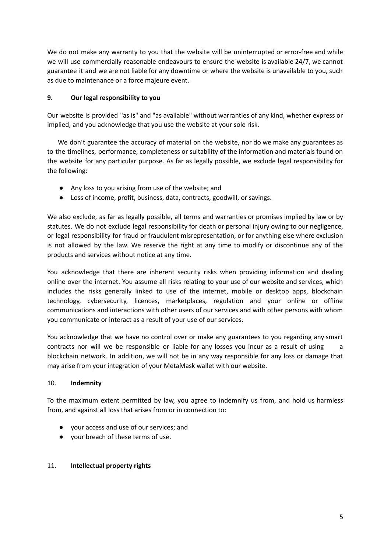We do not make any warranty to you that the website will be uninterrupted or error-free and while we will use commercially reasonable endeavours to ensure the website is available 24/7, we cannot guarantee it and we are not liable for any downtime or where the website is unavailable to you, such as due to maintenance or a force majeure event.

# **9. Our legal responsibility to you**

Our website is provided "as is" and "as available" without warranties of any kind, whether express or implied, and you acknowledge that you use the website at your sole risk.

We don't guarantee the accuracy of material on the website, nor do we make any guarantees as to the timelines, performance, completeness or suitability of the information and materials found on the website for any particular purpose. As far as legally possible, we exclude legal responsibility for the following:

- Any loss to you arising from use of the website; and
- Loss of income, profit, business, data, contracts, goodwill, or savings.

We also exclude, as far as legally possible, all terms and warranties or promises implied by law or by statutes. We do not exclude legal responsibility for death or personal injury owing to our negligence, or legal responsibility for fraud or fraudulent misrepresentation, or for anything else where exclusion is not allowed by the law. We reserve the right at any time to modify or discontinue any of the products and services without notice at any time.

You acknowledge that there are inherent security risks when providing information and dealing online over the internet. You assume all risks relating to your use of our website and services, which includes the risks generally linked to use of the internet, mobile or desktop apps, blockchain technology, cybersecurity, licences, marketplaces, regulation and your online or offline communications and interactions with other users of our services and with other persons with whom you communicate or interact as a result of your use of our services.

You acknowledge that we have no control over or make any guarantees to you regarding any smart contracts nor will we be responsible or liable for any losses you incur as a result of using a blockchain network. In addition, we will not be in any way responsible for any loss or damage that may arise from your integration of your MetaMask wallet with our website.

# 10. **Indemnity**

To the maximum extent permitted by law, you agree to indemnify us from, and hold us harmless from, and against all loss that arises from or in connection to:

- your access and use of our services; and
- your breach of these terms of use.

### 11. **Intellectual property rights**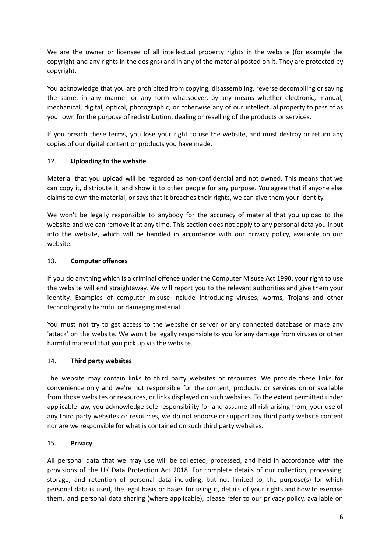We are the owner or licensee of all intellectual property rights in the website (for example the copyright and any rights in the designs) and in any of the material posted on it. They are protected by copyright.

You acknowledge that you are prohibited from copying, disassembling, reverse decompiling or saving the same, in any manner or any form whatsoever, by any means whether electronic, manual, mechanical, digital, optical, photographic, or otherwise any of our intellectual property to pass of as your own for the purpose of redistribution, dealing or reselling of the products or services.

If you breach these terms, you lose your right to use the website, and must destroy or return any copies of our digital content or products you have made.

# 12. **Uploading to the website**

Material that you upload will be regarded as non-confidential and not owned. This means that we can copy it, distribute it, and show it to other people for any purpose. You agree that if anyone else claims to own the material, or says that it breaches their rights, we can give them your identity.

We won't be legally responsible to anybody for the accuracy of material that you upload to the website and we can remove it at any time. This section does not apply to any personal data you input into the website, which will be handled in accordance with our privacy policy, available on our website.

# 13. **Computer offences**

If you do anything which is a criminal offence under the Computer Misuse Act 1990, your right to use the website will end straightaway. We will report you to the relevant authorities and give them your identity. Examples of computer misuse include introducing viruses, worms, Trojans and other technologically harmful or damaging material.

You must not try to get access to the website or server or any connected database or make any 'attack' on the website. We won't be legally responsible to you for any damage from viruses or other harmful material that you pick up via the website.

# 14. **Third party websites**

The website may contain links to third party websites or resources. We provide these links for convenience only and we're not responsible for the content, products, or services on or available from those websites or resources, or links displayed on such websites. To the extent permitted under applicable law, you acknowledge sole responsibility for and assume all risk arising from, your use of any third party websites or resources, we do not endorse or support any third party website content nor are we responsible for what is contained on such third party websites.

# 15. **Privacy**

All personal data that we may use will be collected, processed, and held in accordance with the provisions of the UK Data Protection Act 2018. For complete details of our collection, processing, storage, and retention of personal data including, but not limited to, the purpose(s) for which personal data is used, the legal basis or bases for using it, details of your rights and how to exercise them, and personal data sharing (where applicable), please refer to our privacy policy, available on